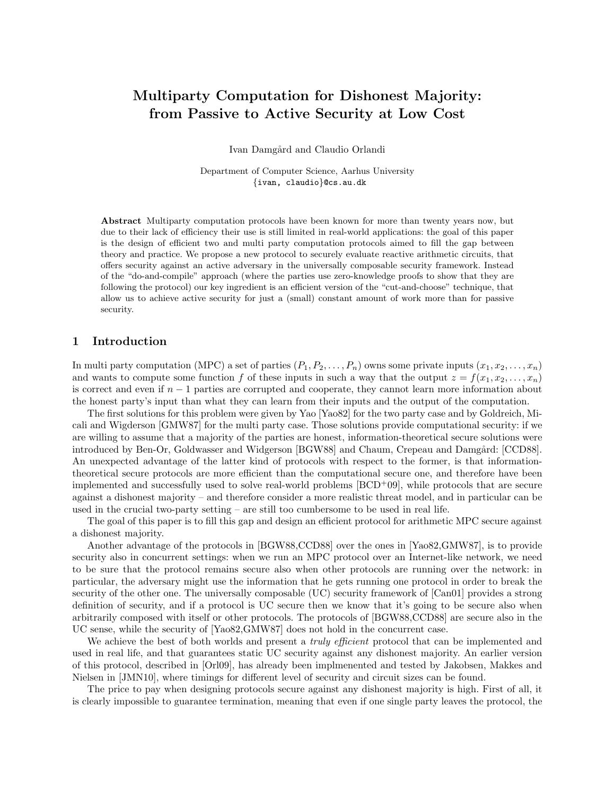# Multiparty Computation for Dishonest Majority: from Passive to Active Security at Low Cost

Ivan Damgård and Claudio Orlandi

Department of Computer Science, Aarhus University {ivan, claudio}@cs.au.dk

Abstract Multiparty computation protocols have been known for more than twenty years now, but due to their lack of efficiency their use is still limited in real-world applications: the goal of this paper is the design of efficient two and multi party computation protocols aimed to fill the gap between theory and practice. We propose a new protocol to securely evaluate reactive arithmetic circuits, that offers security against an active adversary in the universally composable security framework. Instead of the "do-and-compile" approach (where the parties use zero-knowledge proofs to show that they are following the protocol) our key ingredient is an efficient version of the "cut-and-choose" technique, that allow us to achieve active security for just a (small) constant amount of work more than for passive security.

# 1 Introduction

In multi party computation (MPC) a set of parties  $(P_1, P_2, \ldots, P_n)$  owns some private inputs  $(x_1, x_2, \ldots, x_n)$ and wants to compute some function f of these inputs in such a way that the output  $z = f(x_1, x_2, \ldots, x_n)$ is correct and even if  $n-1$  parties are corrupted and cooperate, they cannot learn more information about the honest party's input than what they can learn from their inputs and the output of the computation.

The first solutions for this problem were given by Yao [Yao82] for the two party case and by Goldreich, Micali and Wigderson [GMW87] for the multi party case. Those solutions provide computational security: if we are willing to assume that a majority of the parties are honest, information-theoretical secure solutions were introduced by Ben-Or, Goldwasser and Widgerson [BGW88] and Chaum, Crepeau and Damgård: [CCD88]. An unexpected advantage of the latter kind of protocols with respect to the former, is that informationtheoretical secure protocols are more efficient than the computational secure one, and therefore have been implemented and successfully used to solve real-world problems [BCD+09], while protocols that are secure against a dishonest majority – and therefore consider a more realistic threat model, and in particular can be used in the crucial two-party setting – are still too cumbersome to be used in real life.

The goal of this paper is to fill this gap and design an efficient protocol for arithmetic MPC secure against a dishonest majority.

Another advantage of the protocols in [BGW88,CCD88] over the ones in [Yao82,GMW87], is to provide security also in concurrent settings: when we run an MPC protocol over an Internet-like network, we need to be sure that the protocol remains secure also when other protocols are running over the network: in particular, the adversary might use the information that he gets running one protocol in order to break the security of the other one. The universally composable (UC) security framework of [Can01] provides a strong definition of security, and if a protocol is UC secure then we know that it's going to be secure also when arbitrarily composed with itself or other protocols. The protocols of [BGW88,CCD88] are secure also in the UC sense, while the security of [Yao82,GMW87] does not hold in the concurrent case.

We achieve the best of both worlds and present a *truly efficient* protocol that can be implemented and used in real life, and that guarantees static UC security against any dishonest majority. An earlier version of this protocol, described in [Orl09], has already been implmenented and tested by Jakobsen, Makkes and Nielsen in [JMN10], where timings for different level of security and circuit sizes can be found.

The price to pay when designing protocols secure against any dishonest majority is high. First of all, it is clearly impossible to guarantee termination, meaning that even if one single party leaves the protocol, the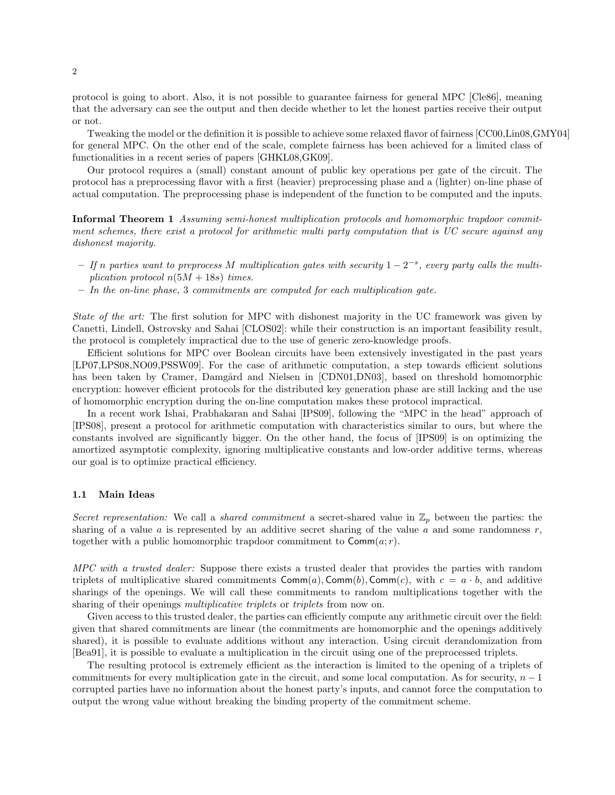protocol is going to abort. Also, it is not possible to guarantee fairness for general MPC [Cle86], meaning that the adversary can see the output and then decide whether to let the honest parties receive their output or not.

Tweaking the model or the definition it is possible to achieve some relaxed flavor of fairness [CC00,Lin08,GMY04] for general MPC. On the other end of the scale, complete fairness has been achieved for a limited class of functionalities in a recent series of papers [GHKL08,GK09].

Our protocol requires a (small) constant amount of public key operations per gate of the circuit. The protocol has a preprocessing flavor with a first (heavier) preprocessing phase and a (lighter) on-line phase of actual computation. The preprocessing phase is independent of the function to be computed and the inputs.

Informal Theorem 1 Assuming semi-honest multiplication protocols and homomorphic trapdoor commitment schemes, there exist a protocol for arithmetic multi party computation that is UC secure against any dishonest majority.

- − If n parties want to preprocess M multiplication gates with security  $1-2^{-s}$ , every party calls the multiplication protocol  $n(5M + 18s)$  times.
- $-$  In the on-line phase, 3 commitments are computed for each multiplication gate.

State of the art: The first solution for MPC with dishonest majority in the UC framework was given by Canetti, Lindell, Ostrovsky and Sahai [CLOS02]: while their construction is an important feasibility result, the protocol is completely impractical due to the use of generic zero-knowledge proofs.

Efficient solutions for MPC over Boolean circuits have been extensively investigated in the past years [LP07,LPS08,NO09,PSSW09]. For the case of arithmetic computation, a step towards efficient solutions has been taken by Cramer, Damgård and Nielsen in [CDN01,DN03], based on threshold homomorphic encryption: however efficient protocols for the distributed key generation phase are still lacking and the use of homomorphic encryption during the on-line computation makes these protocol impractical.

In a recent work Ishai, Prabhakaran and Sahai [IPS09], following the "MPC in the head" approach of [IPS08], present a protocol for arithmetic computation with characteristics similar to ours, but where the constants involved are significantly bigger. On the other hand, the focus of [IPS09] is on optimizing the amortized asymptotic complexity, ignoring multiplicative constants and low-order additive terms, whereas our goal is to optimize practical efficiency.

#### 1.1 Main Ideas

Secret representation: We call a shared commitment a secret-shared value in  $\mathbb{Z}_p$  between the parties: the sharing of a value  $a$  is represented by an additive secret sharing of the value  $a$  and some randomness  $r$ , together with a public homomorphic trapdoor commitment to  $\text{Comm}(a; r)$ .

MPC with a trusted dealer: Suppose there exists a trusted dealer that provides the parties with random triplets of multiplicative shared commitments  $\text{Comm}(a)$ ,  $\text{Comm}(b)$ ,  $\text{Comm}(c)$ , with  $c = a \cdot b$ , and additive sharings of the openings. We will call these commitments to random multiplications together with the sharing of their openings *multiplicative triplets* or *triplets* from now on.

Given access to this trusted dealer, the parties can efficiently compute any arithmetic circuit over the field: given that shared commitments are linear (the commitments are homomorphic and the openings additively shared), it is possible to evaluate additions without any interaction. Using circuit derandomization from [Bea91], it is possible to evaluate a multiplication in the circuit using one of the preprocessed triplets.

The resulting protocol is extremely efficient as the interaction is limited to the opening of a triplets of commitments for every multiplication gate in the circuit, and some local computation. As for security,  $n-1$ corrupted parties have no information about the honest party's inputs, and cannot force the computation to output the wrong value without breaking the binding property of the commitment scheme.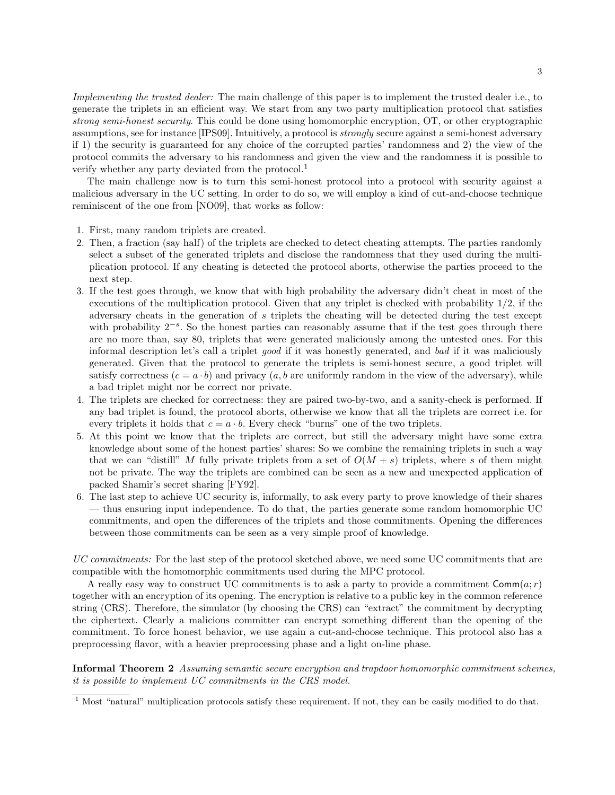Implementing the trusted dealer: The main challenge of this paper is to implement the trusted dealer i.e., to generate the triplets in an efficient way. We start from any two party multiplication protocol that satisfies strong semi-honest security. This could be done using homomorphic encryption, OT, or other cryptographic assumptions, see for instance [IPS09]. Intuitively, a protocol is strongly secure against a semi-honest adversary if 1) the security is guaranteed for any choice of the corrupted parties' randomness and 2) the view of the protocol commits the adversary to his randomness and given the view and the randomness it is possible to verify whether any party deviated from the protocol.<sup>1</sup>

The main challenge now is to turn this semi-honest protocol into a protocol with security against a malicious adversary in the UC setting. In order to do so, we will employ a kind of cut-and-choose technique reminiscent of the one from [NO09], that works as follow:

- 1. First, many random triplets are created.
- 2. Then, a fraction (say half) of the triplets are checked to detect cheating attempts. The parties randomly select a subset of the generated triplets and disclose the randomness that they used during the multiplication protocol. If any cheating is detected the protocol aborts, otherwise the parties proceed to the next step.
- 3. If the test goes through, we know that with high probability the adversary didn't cheat in most of the executions of the multiplication protocol. Given that any triplet is checked with probability 1/2, if the adversary cheats in the generation of s triplets the cheating will be detected during the test except with probability  $2^{-s}$ . So the honest parties can reasonably assume that if the test goes through there are no more than, say 80, triplets that were generated maliciously among the untested ones. For this informal description let's call a triplet good if it was honestly generated, and bad if it was maliciously generated. Given that the protocol to generate the triplets is semi-honest secure, a good triplet will satisfy correctness  $(c = a \cdot b)$  and privacy  $(a, b$  are uniformly random in the view of the adversary), while a bad triplet might nor be correct nor private.
- 4. The triplets are checked for correctness: they are paired two-by-two, and a sanity-check is performed. If any bad triplet is found, the protocol aborts, otherwise we know that all the triplets are correct i.e. for every triplets it holds that  $c = a \cdot b$ . Every check "burns" one of the two triplets.
- 5. At this point we know that the triplets are correct, but still the adversary might have some extra knowledge about some of the honest parties' shares: So we combine the remaining triplets in such a way that we can "distill" M fully private triplets from a set of  $O(M + s)$  triplets, where s of them might not be private. The way the triplets are combined can be seen as a new and unexpected application of packed Shamir's secret sharing [FY92].
- 6. The last step to achieve UC security is, informally, to ask every party to prove knowledge of their shares — thus ensuring input independence. To do that, the parties generate some random homomorphic UC commitments, and open the differences of the triplets and those commitments. Opening the differences between those commitments can be seen as a very simple proof of knowledge.

UC commitments: For the last step of the protocol sketched above, we need some UC commitments that are compatible with the homomorphic commitments used during the MPC protocol.

A really easy way to construct UC commitments is to ask a party to provide a commitment  $\text{Comm}(a; r)$ together with an encryption of its opening. The encryption is relative to a public key in the common reference string (CRS). Therefore, the simulator (by choosing the CRS) can "extract" the commitment by decrypting the ciphertext. Clearly a malicious committer can encrypt something different than the opening of the commitment. To force honest behavior, we use again a cut-and-choose technique. This protocol also has a preprocessing flavor, with a heavier preprocessing phase and a light on-line phase.

Informal Theorem 2 Assuming semantic secure encryption and trapdoor homomorphic commitment schemes, it is possible to implement UC commitments in the CRS model.

<sup>&</sup>lt;sup>1</sup> Most "natural" multiplication protocols satisfy these requirement. If not, they can be easily modified to do that.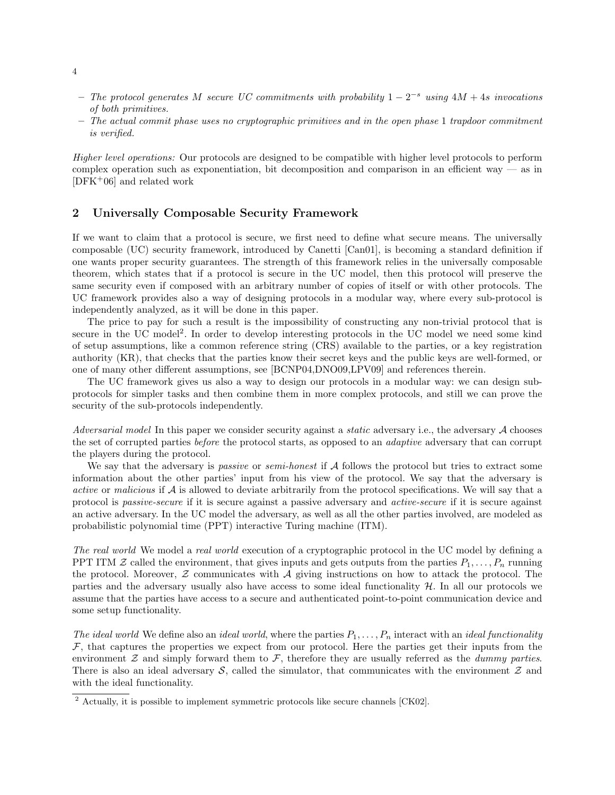- − The protocol generates M secure UC commitments with probability  $1-2^{-s}$  using  $4M + 4s$  invocations of both primitives.
- $-$  The actual commit phase uses no cryptographic primitives and in the open phase 1 trapdoor commitment is verified.

Higher level operations: Our protocols are designed to be compatible with higher level protocols to perform complex operation such as exponentiation, bit decomposition and comparison in an efficient way  $-$  as in [DFK+06] and related work

# 2 Universally Composable Security Framework

If we want to claim that a protocol is secure, we first need to define what secure means. The universally composable (UC) security framework, introduced by Canetti [Can01], is becoming a standard definition if one wants proper security guarantees. The strength of this framework relies in the universally composable theorem, which states that if a protocol is secure in the UC model, then this protocol will preserve the same security even if composed with an arbitrary number of copies of itself or with other protocols. The UC framework provides also a way of designing protocols in a modular way, where every sub-protocol is independently analyzed, as it will be done in this paper.

The price to pay for such a result is the impossibility of constructing any non-trivial protocol that is secure in the UC model<sup>2</sup>. In order to develop interesting protocols in the UC model we need some kind of setup assumptions, like a common reference string (CRS) available to the parties, or a key registration authority (KR), that checks that the parties know their secret keys and the public keys are well-formed, or one of many other different assumptions, see [BCNP04,DNO09,LPV09] and references therein.

The UC framework gives us also a way to design our protocols in a modular way: we can design subprotocols for simpler tasks and then combine them in more complex protocols, and still we can prove the security of the sub-protocols independently.

Adversarial model In this paper we consider security against a *static* adversary i.e., the adversary A chooses the set of corrupted parties before the protocol starts, as opposed to an adaptive adversary that can corrupt the players during the protocol.

We say that the adversary is *passive* or *semi-honest* if  $A$  follows the protocol but tries to extract some information about the other parties' input from his view of the protocol. We say that the adversary is active or malicious if A is allowed to deviate arbitrarily from the protocol specifications. We will say that a protocol is passive-secure if it is secure against a passive adversary and active-secure if it is secure against an active adversary. In the UC model the adversary, as well as all the other parties involved, are modeled as probabilistic polynomial time (PPT) interactive Turing machine (ITM).

The real world We model a real world execution of a cryptographic protocol in the UC model by defining a PPT ITM  $\mathcal Z$  called the environment, that gives inputs and gets outputs from the parties  $P_1, \ldots, P_n$  running the protocol. Moreover,  $Z$  communicates with  $A$  giving instructions on how to attack the protocol. The parties and the adversary usually also have access to some ideal functionality  $H$ . In all our protocols we assume that the parties have access to a secure and authenticated point-to-point communication device and some setup functionality.

The ideal world We define also an ideal world, where the parties  $P_1, \ldots, P_n$  interact with an ideal functionality  $\mathcal F$ , that captures the properties we expect from our protocol. Here the parties get their inputs from the environment  $\mathcal Z$  and simply forward them to  $\mathcal F$ , therefore they are usually referred as the *dummy parties*. There is also an ideal adversary  $S$ , called the simulator, that communicates with the environment  $Z$  and with the ideal functionality.

 $\frac{2}{1}$  Actually, it is possible to implement symmetric protocols like secure channels [CK02].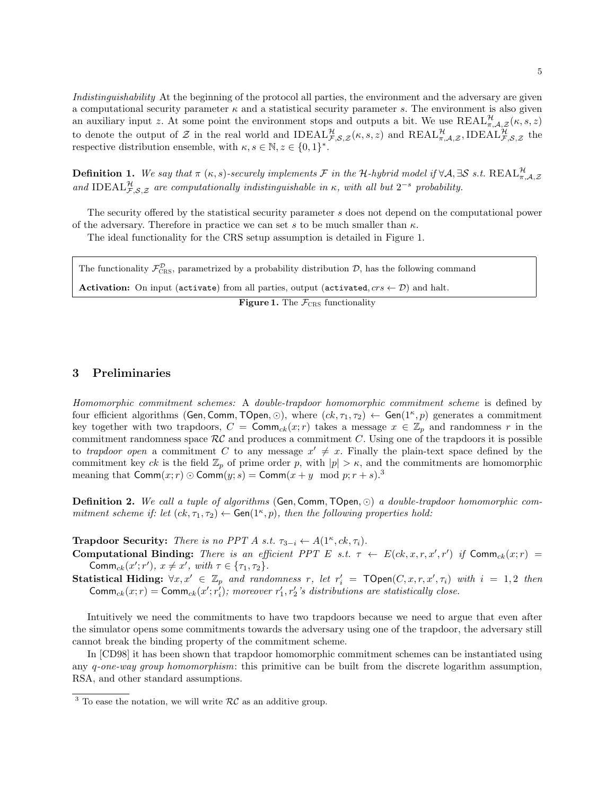Indistinguishability At the beginning of the protocol all parties, the environment and the adversary are given a computational security parameter  $\kappa$  and a statistical security parameter s. The environment is also given an auxiliary input z. At some point the environment stops and outputs a bit. We use  $REAL^{\mathcal{H}}_{\pi,\mathcal{A},\mathcal{Z}}(\kappa,s,z)$ to denote the output of Z in the real world and  $\text{IDEAL}_{\mathcal{F},\mathcal{S},\mathcal{Z}}^{\mathcal{H}}(\kappa,s,z)$  and  $\text{REAL}_{\pi,\mathcal{A},\mathcal{Z}}^{\mathcal{H}},\text{IDEAL}_{\mathcal{F},\mathcal{S},\mathcal{Z}}^{\mathcal{H}}$  the respective distribution ensemble, with  $\kappa, s \in \mathbb{N}, z \in \{0,1\}^*$ .

**Definition 1.** We say that  $\pi$  ( $\kappa$ , s)-securely implements F in the H-hybrid model if  $\forall A, \exists S \text{ s.t. } \text{REAL}_{\pi,\mathcal{A},\mathcal{Z}}^{\mathcal{H}}$ and IDEAL $_{\mathcal{F},\mathcal{S},\mathcal{Z}}^{\mathcal{H}}$  are computationally indistinguishable in  $\kappa$ , with all but  $2^{-s}$  probability.

The security offered by the statistical security parameter s does not depend on the computational power of the adversary. Therefore in practice we can set s to be much smaller than  $\kappa$ .

The ideal functionality for the CRS setup assumption is detailed in Figure 1.

| The functionality $\mathcal{F}_{\text{CRS}}^{\mathcal{D}}$ , parametrized by a probability distribution $\mathcal{D}$ , has the following command |  |
|---------------------------------------------------------------------------------------------------------------------------------------------------|--|
| <b>Activation:</b> On input (activate) from all parties, output (activated, $crs \leftarrow \mathcal{D}$ ) and halt.                              |  |

**Figure 1.** The  $\mathcal{F}_{CRS}$  functionality

## 3 Preliminaries

Homomorphic commitment schemes: A double-trapdoor homomorphic commitment scheme is defined by four efficient algorithms (Gen, Comm, TOpen,  $\odot$ ), where  $(ck, \tau_1, \tau_2) \leftarrow$  Gen $(1^{\kappa}, p)$  generates a commitment key together with two trapdoors,  $C = \text{Comm}_{ck}(x; r)$  takes a message  $x \in \mathbb{Z}_p$  and randomness r in the commitment randomness space  $RC$  and produces a commitment C. Using one of the trapdoors it is possible to trapdoor open a commitment C to any message  $x' \neq x$ . Finally the plain-text space defined by the commitment key ck is the field  $\mathbb{Z}_p$  of prime order p, with  $|p| > \kappa$ , and the commitments are homomorphic meaning that  $\text{Comm}(x; r) \odot \text{Comm}(y; s) = \text{Comm}(x + y \mod p; r + s).$ <sup>3</sup>

Definition 2. We call a tuple of algorithms (Gen, Comm, TOpen,  $\odot$ ) a double-trapdoor homomorphic commitment scheme if: let  $(ck, \tau_1, \tau_2) \leftarrow$  Gen $(1^{\kappa}, p)$ , then the following properties hold:

**Trapdoor Security:** There is no PPT A s.t.  $\tau_{3-i} \leftarrow A(1^{\kappa}, ck, \tau_i)$ .

- Computational Binding: There is an efficient PPT E s.t.  $\tau \leftarrow E(ck, x, r, x', r')$  if Comm<sub>ck</sub> $(x; r)$  = Comm<sub>ck</sub> $(x'; r')$ ,  $x \neq x'$ , with  $\tau \in \{\tau_1, \tau_2\}$ .
- Statistical Hiding:  $\forall x, x' \in \mathbb{Z}_p$  and randomness r, let  $r'_i = \text{TOPen}(C, x, r, x', \tau_i)$  with  $i = 1, 2$  then Comm<sub>ck</sub> $(x; r)$  = Comm<sub>ck</sub> $(x'; r'_i)$ ; moreover  $r'_1, r'_2$ 's distributions are statistically close.

Intuitively we need the commitments to have two trapdoors because we need to argue that even after the simulator opens some commitments towards the adversary using one of the trapdoor, the adversary still cannot break the binding property of the commitment scheme.

In [CD98] it has been shown that trapdoor homomorphic commitment schemes can be instantiated using any  $q\text{-}one-way group homomorphism: this primitive can be built from the discrete logarithm assumption,$ RSA, and other standard assumptions.

<sup>&</sup>lt;sup>3</sup> To ease the notation, we will write  $RC$  as an additive group.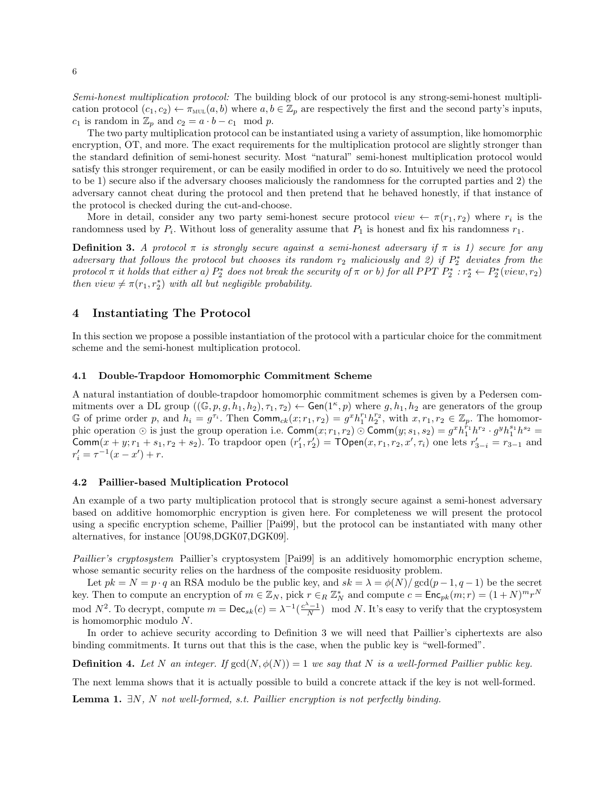Semi-honest multiplication protocol: The building block of our protocol is any strong-semi-honest multiplication protocol  $(c_1, c_2) \leftarrow \pi_{\text{MUL}}(a, b)$  where  $a, b \in \mathbb{Z}_p$  are respectively the first and the second party's inputs,  $c_1$  is random in  $\mathbb{Z}_p$  and  $c_2 = a \cdot b - c_1 \mod p$ .

The two party multiplication protocol can be instantiated using a variety of assumption, like homomorphic encryption, OT, and more. The exact requirements for the multiplication protocol are slightly stronger than the standard definition of semi-honest security. Most "natural" semi-honest multiplication protocol would satisfy this stronger requirement, or can be easily modified in order to do so. Intuitively we need the protocol to be 1) secure also if the adversary chooses maliciously the randomness for the corrupted parties and 2) the adversary cannot cheat during the protocol and then pretend that he behaved honestly, if that instance of the protocol is checked during the cut-and-choose.

More in detail, consider any two party semi-honest secure protocol  $view \leftarrow \pi(r_1, r_2)$  where  $r_i$  is the randomness used by  $P_i$ . Without loss of generality assume that  $P_1$  is honest and fix his randomness  $r_1$ .

**Definition 3.** A protocol  $\pi$  is strongly secure against a semi-honest adversary if  $\pi$  is 1) secure for any adversary that follows the protocol but chooses its random  $r_2$  maliciously and 2) if  $P_2^*$  deviates from the protocol  $\pi$  it holds that either a)  $P_2^*$  does not break the security of  $\pi$  or b) for all PPT  $P_2^*: r_2^* \leftarrow P_2^*(view, r_2)$ then  $view \neq \pi(r_1, r_2^*)$  with all but negligible probability.

# 4 Instantiating The Protocol

In this section we propose a possible instantiation of the protocol with a particular choice for the commitment scheme and the semi-honest multiplication protocol.

#### 4.1 Double-Trapdoor Homomorphic Commitment Scheme

A natural instantiation of double-trapdoor homomorphic commitment schemes is given by a Pedersen commitments over a DL group  $((\mathbb{G},p,g,h_1,h_2),\tau_1,\tau_2) \leftarrow$  Gen $(1^{\kappa},p)$  where  $g,h_1,h_2$  are generators of the group G of prime order p, and  $h_i = g^{\tau_i}$ . Then  $\text{Comm}_{ck}(x; r_1, r_2) = g^x h_1^{r_1} h_2^{r_2}$ , with  $x, r_1, r_2 \in \mathbb{Z}_p$ . The homomorphic operation  $\odot$  is just the group operation i.e.  $\text{Comm}(x; r_1, r_2) \odot \text{Comm}(y; s_1, s_2) = g^x h_1^{r_1} h^{r_2} \cdot g^y h_1^{s_1} h^{s_2} =$ Comm $(x+y; r_1 + s_1, r_2 + s_2)$ . To trapdoor open  $(r'_1, r'_2) = \text{TOPen}(x, r_1, r_2, x', \tau_i)$  one lets  $r'_{3-i} = r_{3-1}$  and  $r'_i = \tau^{-1}(x - x') + r.$ 

#### 4.2 Paillier-based Multiplication Protocol

An example of a two party multiplication protocol that is strongly secure against a semi-honest adversary based on additive homomorphic encryption is given here. For completeness we will present the protocol using a specific encryption scheme, Paillier [Pai99], but the protocol can be instantiated with many other alternatives, for instance [OU98,DGK07,DGK09].

Paillier's cryptosystem Paillier's cryptosystem [Pai99] is an additively homomorphic encryption scheme, whose semantic security relies on the hardness of the composite residuosity problem.

Let  $pk = N = p \cdot q$  an RSA modulo be the public key, and  $sk = \lambda = \phi(N)/\gcd(p-1, q-1)$  be the secret key. Then to compute an encryption of  $m \in \mathbb{Z}_N$ , pick  $r \in_R \mathbb{Z}_N^*$  and compute  $c = \text{Enc}_{pk}(m; r) = (1 + N)^m r^N$ mod  $N^2$ . To decrypt, compute  $m = \text{Dec}_{sk}(c) = \lambda^{-1}(\frac{c^{\lambda}-1}{N})$  mod N. It's easy to verify that the cryptosystem is homomorphic modulo N.

In order to achieve security according to Definition 3 we will need that Paillier's ciphertexts are also binding commitments. It turns out that this is the case, when the public key is "well-formed".

**Definition 4.** Let N an integer. If  $gcd(N, \phi(N)) = 1$  we say that N is a well-formed Paillier public key.

The next lemma shows that it is actually possible to build a concrete attack if the key is not well-formed.

**Lemma 1.**  $\exists N$ , N not well-formed, s.t. Paillier encryption is not perfectly binding.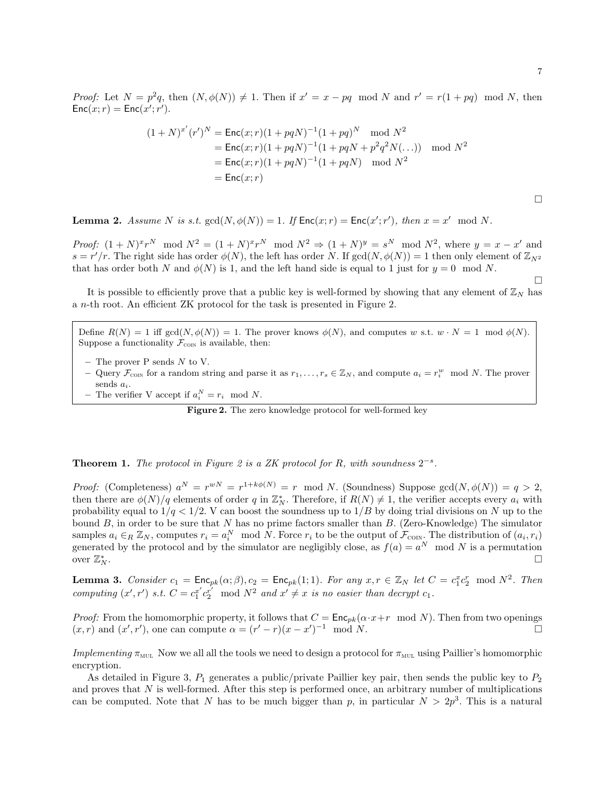Proof: Let  $N = p^2q$ , then  $(N, \phi(N)) \neq 1$ . Then if  $x' = x - pq \mod N$  and  $r' = r(1 + pq) \mod N$ , then  $Enc(x; r) = Enc(x'; r').$ 

$$
(1+N)^{x'}(r')^N = \text{Enc}(x; r)(1+pqN)^{-1}(1+pq)^N \mod N^2
$$
  
= Enc(x; r)(1+pqN)^{-1}(1+pqN+p^2q^2N(\ldots)) \mod N^2  
= Enc(x; r)(1+pqN)^{-1}(1+pqN) \mod N^2  
= Enc(x; r)

 $\Box$ 

 $\Box$ 

**Lemma 2.** Assume N is s.t.  $gcd(N, \phi(N)) = 1$ . If  $Enc(x; r) = Enc(x'; r')$ , then  $x = x' \mod N$ .

*Proof:*  $(1+N)^{x}r^{N} \mod N^{2} = (1+N)^{x}r^{N} \mod N^{2} \Rightarrow (1+N)^{y} = s^{N} \mod N^{2}$ , where  $y = x - x'$  and  $s = r'/r$ . The right side has order  $\phi(N)$ , the left has order N. If  $gcd(N, \phi(N)) = 1$  then only element of  $\mathbb{Z}_{N^2}$ that has order both N and  $\phi(N)$  is 1, and the left hand side is equal to 1 just for  $y = 0 \mod N$ .

It is possible to efficiently prove that a public key is well-formed by showing that any element of  $\mathbb{Z}_N$  has a n-th root. An efficient ZK protocol for the task is presented in Figure 2.

Define  $R(N) = 1$  iff  $gcd(N, \phi(N)) = 1$ . The prover knows  $\phi(N)$ , and computes w s.t.  $w \cdot N = 1 \mod \phi(N)$ . Suppose a functionality  $\mathcal{F}_{\text{conv}}$  is available, then:

- The prover  $P$  sends  $N$  to  $V$ .
- Query  $\mathcal{F}_{\text{conv}}$  for a random string and parse it as  $r_1, \ldots, r_s \in \mathbb{Z}_N$ , and compute  $a_i = r_i^w \mod N$ . The prover sends  $a_i$ .
- The verifier V accept if  $a_i^N = r_i \mod N$ .

Figure 2. The zero knowledge protocol for well-formed key

# **Theorem 1.** The protocol in Figure 2 is a ZK protocol for R, with soundness  $2^{-s}$ .

Proof: (Completeness)  $a^N = r^{wN} = r^{1+k\phi(N)} = r \mod N$ . (Soundness) Suppose  $gcd(N, \phi(N)) = q > 2$ , then there are  $\phi(N)/q$  elements of order q in  $\mathbb{Z}_N^*$ . Therefore, if  $R(N) \neq 1$ , the verifier accepts every  $a_i$  with probability equal to  $1/q < 1/2$ . V can boost the soundness up to  $1/B$  by doing trial divisions on N up to the bound  $B$ , in order to be sure that  $N$  has no prime factors smaller than  $B$ . (Zero-Knowledge) The simulator samples  $a_i \in_R \mathbb{Z}_N$ , computes  $r_i = a_i^N \mod N$ . Force  $r_i$  to be the output of  $\mathcal{F}_{\text{conv}}$ . The distribution of  $(a_i, r_i)$ generated by the protocol and by the simulator are negligibly close, as  $f(a) = a^N \mod N$  is a permutation over  $\mathbb{Z}_N^*$  $\sum_{i=1}^{n}$ 

**Lemma 3.** Consider  $c_1 = \text{Enc}_{pk}(\alpha; \beta), c_2 = \text{Enc}_{pk}(1; 1)$ . For any  $x, r \in \mathbb{Z}_N$  let  $C = c_1^x c_2^r \mod N^2$ . Then computing  $(x', r')$  s.t.  $C = c_1^{x'} c_2^{r'} \mod N^2$  and  $x' \neq x$  is no easier than decrypt  $c_1$ .

*Proof:* From the homomorphic property, it follows that  $C = \text{Enc}_{pk}(\alpha \cdot x + r \mod N)$ . Then from two openings  $(x, r)$  and  $(x', r')$ , one can compute  $\alpha = (r' - r)(x - x')^{-1} \mod N$ .

Implementing  $\pi_{\text{MUL}}$  Now we all all the tools we need to design a protocol for  $\pi_{\text{MUL}}$  using Paillier's homomorphic encryption.

As detailed in Figure 3,  $P_1$  generates a public/private Paillier key pair, then sends the public key to  $P_2$ and proves that  $N$  is well-formed. After this step is performed once, an arbitrary number of multiplications can be computed. Note that N has to be much bigger than p, in particular  $N > 2p<sup>3</sup>$ . This is a natural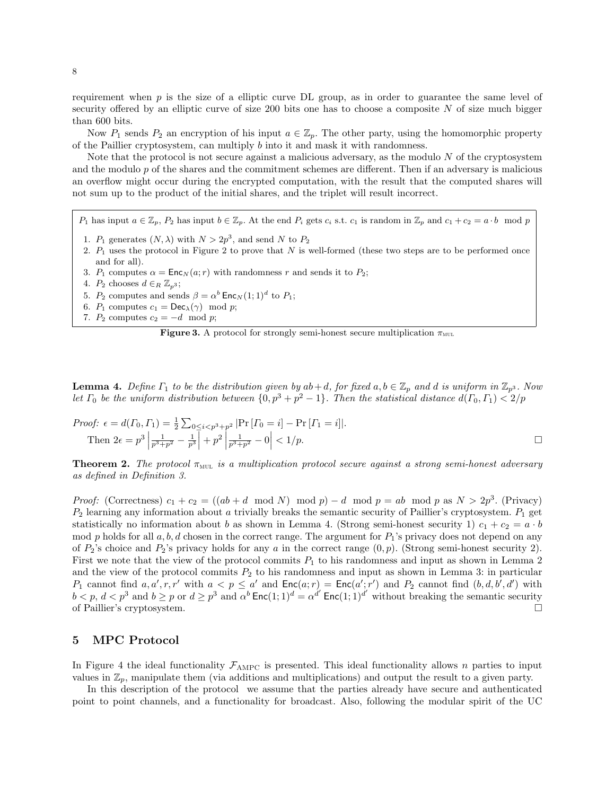requirement when  $p$  is the size of a elliptic curve DL group, as in order to guarantee the same level of security offered by an elliptic curve of size 200 bits one has to choose a composite  $N$  of size much bigger than 600 bits.

Now  $P_1$  sends  $P_2$  an encryption of his input  $a \in \mathbb{Z}_p$ . The other party, using the homomorphic property of the Paillier cryptosystem, can multiply  $b$  into it and mask it with randomness.

Note that the protocol is not secure against a malicious adversary, as the modulo  $N$  of the cryptosystem and the modulo  $p$  of the shares and the commitment schemes are different. Then if an adversary is malicious an overflow might occur during the encrypted computation, with the result that the computed shares will not sum up to the product of the initial shares, and the triplet will result incorrect.

 $P_1$  has input  $a \in \mathbb{Z}_p$ ,  $P_2$  has input  $b \in \mathbb{Z}_p$ . At the end  $P_i$  gets  $c_i$  s.t.  $c_1$  is random in  $\mathbb{Z}_p$  and  $c_1 + c_2 = a \cdot b \mod p$ 

- 1.  $P_1$  generates  $(N, \lambda)$  with  $N > 2p^3$ , and send N to  $P_2$
- 2.  $P_1$  uses the protocol in Figure 2 to prove that N is well-formed (these two steps are to be performed once and for all).
- 3.  $P_1$  computes  $\alpha = \text{Enc}_N(a; r)$  with randomness r and sends it to  $P_2$ ;
- 4.  $P_2$  chooses  $d \in_R \mathbb{Z}_{p^3}$ ;
- 5.  $P_2$  computes and sends  $\beta = \alpha^b$  Enc<sub>N</sub> $(1; 1)^d$  to  $P_1$ ;
- 6.  $P_1$  computes  $c_1 = \mathsf{Dec}_\lambda(\gamma) \mod p;$
- 7.  $P_2$  computes  $c_2 = -d \mod p$ ;



**Lemma 4.** Define  $\Gamma_1$  to be the distribution given by  $ab+d$ , for fixed  $a, b \in \mathbb{Z}_p$  and d is uniform in  $\mathbb{Z}_{p^3}$ . Now let  $\Gamma_0$  be the uniform distribution between  $\{0, p^3 + p^2 - 1\}$ . Then the statistical distance  $d(\Gamma_0, \Gamma_1) < 2/p$ 

*Proof:* 
$$
\epsilon = d(\Gamma_0, \Gamma_1) = \frac{1}{2} \sum_{0 \le i < p^3 + p^2} |\Pr[\Gamma_0 = i] - \Pr[\Gamma_1 = i]|
$$
.  
Then  $2\epsilon = p^3 \left| \frac{1}{p^3 + p^2} - \frac{1}{p^3} \right| + p^2 \left| \frac{1}{p^3 + p^2} - 0 \right| < 1/p$ .

**Theorem 2.** The protocol  $\pi_{\text{MUL}}$  is a multiplication protocol secure against a strong semi-honest adversary as defined in Definition 3.

*Proof:* (Correctness)  $c_1 + c_2 = ((ab + d \mod N) \mod p) - d \mod p = ab \mod p$  as  $N > 2p^3$ . (Privacy)  $P_2$  learning any information about a trivially breaks the semantic security of Paillier's cryptosystem.  $P_1$  get statistically no information about b as shown in Lemma 4. (Strong semi-honest security 1)  $c_1 + c_2 = a \cdot b$ mod p holds for all  $a, b, d$  chosen in the correct range. The argument for  $P_1$ 's privacy does not depend on any of  $P_2$ 's choice and  $P_2$ 's privacy holds for any a in the correct range  $(0, p)$ . (Strong semi-honest security 2). First we note that the view of the protocol commits  $P_1$  to his randomness and input as shown in Lemma 2 and the view of the protocol commits  $P_2$  to his randomness and input as shown in Lemma 3: in particular  $P_1$  cannot find  $a, a', r, r'$  with  $a < p \le a'$  and  $\mathsf{Enc}(a; r) = \mathsf{Enc}(a'; r')$  and  $P_2$  cannot find  $(b, d, b', d')$  with  $b < p, d < p^3$  and  $b \ge p$  or  $d \ge p^3$  and  $\alpha^b$  Enc $(1, 1)^d = \alpha^{d'}$  Enc $(1, 1)^{d'}$  without breaking the semantic security of Paillier's cryptosystem.

# 5 MPC Protocol

In Figure 4 the ideal functionality  $\mathcal{F}_{\text{AMPC}}$  is presented. This ideal functionality allows n parties to input values in  $\mathbb{Z}_p$ , manipulate them (via additions and multiplications) and output the result to a given party.

In this description of the protocol we assume that the parties already have secure and authenticated point to point channels, and a functionality for broadcast. Also, following the modular spirit of the UC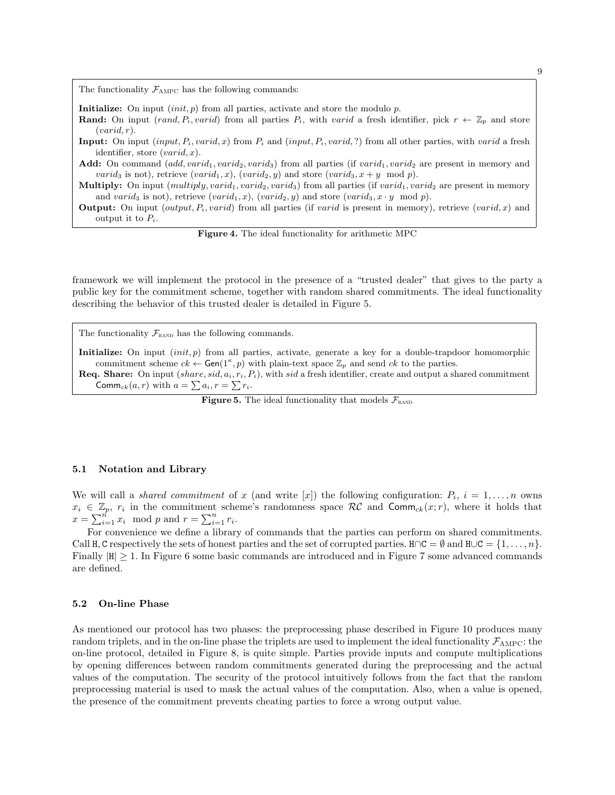The functionality  $\mathcal{F}_{\text{AMPC}}$  has the following commands:

Initialize: On input  $(int, p)$  from all parties, activate and store the modulo p.

- **Rand:** On input (rand,  $P_i$ , varid) from all parties  $P_i$ , with varid a fresh identifier, pick  $r \leftarrow \mathbb{Z}_p$  and store  $(varid, r).$
- **Input:** On input  $(input, P_i, vari, x)$  from  $P_i$  and  $(input, P_i, vari, ?)$  from all other parties, with varid a fresh identifier, store  $(varid, x)$ .

Add: On command  $(add, variable, variable, variable)$  from all parties (if  $variable, variable, variable, and$  are present in memory and *varid*<sub>3</sub> is not), retrieve  $(varid_1, x)$ ,  $(varid_2, y)$  and store  $(varid_3, x + y \mod p)$ .

- Multiply: On input  $(multiply, variable, variable, variable)$  from all parties (if  $variable, variable, variable, variable, variable, and variable, and the number of variables, and the number of variables, and the number of variables, and the number of variables, and the number of variables, and the number of variables, and the number of variables, and the number of variables, and the number of variables, and the number of variables, and the number of variables, and the number of variables, and the number of variables, and the number of variables, and the number of variables, and the number of variables, and the number of variables, and the number of variables, and the number of variables, and the number of variables, and the number of variables, and the number of variables, and the number of variables, and the number of variables, and the number of variables, and the number of variables$ and varid<sub>3</sub> is not), retrieve  $(varid_1, x)$ ,  $(varid_2, y)$  and store  $(varid_3, x \cdot y \mod p)$ .
- **Output:** On input (*output, P<sub>i</sub>, varid*) from all parties (if *varid* is present in memory), retrieve (*varid, x*) and output it to  $P_i$ .

Figure 4. The ideal functionality for arithmetic MPC

framework we will implement the protocol in the presence of a "trusted dealer" that gives to the party a public key for the commitment scheme, together with random shared commitments. The ideal functionality describing the behavior of this trusted dealer is detailed in Figure 5.

The functionality  $\mathcal{F}_{\text{RAND}}$  has the following commands.

Initialize: On input  $(int, p)$  from all parties, activate, generate a key for a double-trapdoor homomorphic commitment scheme  $ck \leftarrow \text{Gen}(1^{\kappa}, p)$  with plain-text space  $\mathbb{Z}_p$  and send  $ck$  to the parties.

**Req. Share:** On input  $(share, sid, a_i, r_i, P_i)$ , with sid a fresh identifier, create and output a shared commitment Comm<sub>ck</sub> $(a, r)$  with  $a = \sum a_i, r = \sum r_i$ .

**Figure 5.** The ideal functionality that models  $\mathcal{F}_{\text{RAND}}$ 

## 5.1 Notation and Library

We will call a *shared commitment* of x (and write [x]) the following configuration:  $P_i$ ,  $i = 1, ..., n$  owns  $x_i \in \mathbb{Z}_p$ ,  $r_i$  in the commitment scheme's randomness space RC and Comm<sub>ck</sub>(x; r), where it holds that  $x = \sum_{i=1}^{n} x_i \mod p$  and  $r = \sum_{i=1}^{n} r_i$ .

For convenience we define a library of commands that the parties can perform on shared commitments. Call H, C respectively the sets of honest parties and the set of corrupted parties.  $H \cap C = \emptyset$  and  $H \cup C = \{1, \ldots, n\}$ . Finally  $|H| > 1$ . In Figure 6 some basic commands are introduced and in Figure 7 some advanced commands are defined.

#### 5.2 On-line Phase

As mentioned our protocol has two phases: the preprocessing phase described in Figure 10 produces many random triplets, and in the on-line phase the triplets are used to implement the ideal functionality  $\mathcal{F}_{AMPC}$ : the on-line protocol, detailed in Figure 8, is quite simple. Parties provide inputs and compute multiplications by opening differences between random commitments generated during the preprocessing and the actual values of the computation. The security of the protocol intuitively follows from the fact that the random preprocessing material is used to mask the actual values of the computation. Also, when a value is opened, the presence of the commitment prevents cheating parties to force a wrong output value.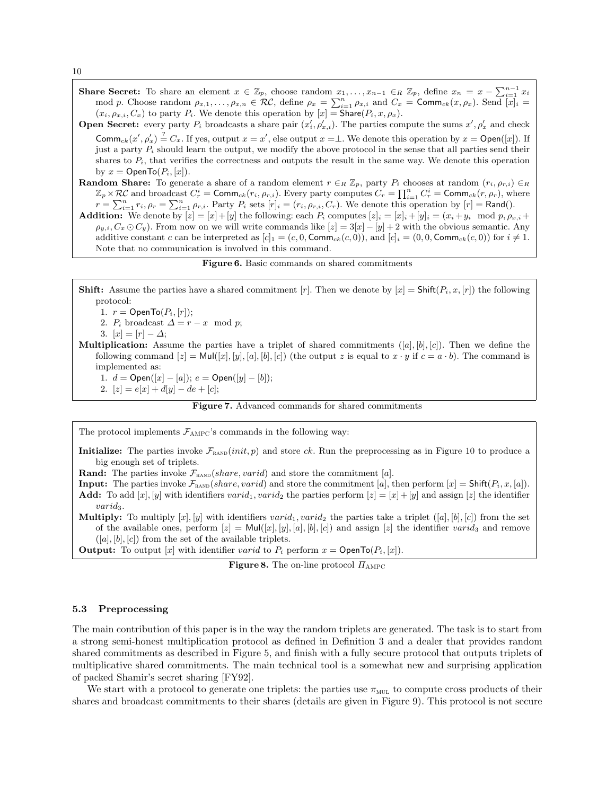Share Secret: To share an element  $x \in \mathbb{Z}_p$ , choose random  $x_1, \ldots, x_{n-1} \in_R \mathbb{Z}_p$ , define  $x_n = x - \sum_{i=1}^{n-1} x_i$ mod p. Choose random  $\rho_{x,1},\ldots,\rho_{x,n} \in \mathcal{RC}$ , define  $\rho_x = \sum_{i=1}^n \rho_{x,i}$  and  $C_x = \text{Comm}_{ck}(x,\rho_x)$ . Send  $\overline{[x]}_i =$  $(x_i, \rho_{x,i}, C_x)$  to party  $P_i$ . We denote this operation by  $[x] = \textsf{Share}(P_i, x, \rho_x)$ .

**Open Secret:** every party  $P_i$  broadcasts a share pair  $(x'_i, \rho'_{x,i})$ . The parties compute the sums  $x', \rho'_x$  and check Comm<sub>ck</sub> $(x', \rho'_x) \stackrel{?}{=} C_x$ . If yes, output  $x = x'$ , else output  $x = \perp$ . We denote this operation by  $x = \mathsf{Open}([x])$ . If just a party  $P_i$  should learn the output, we modify the above protocol in the sense that all parties send their shares to  $P_i$ , that verifies the correctness and outputs the result in the same way. We denote this operation by  $x = \text{OpenTo}(P_i, [x])$ .

**Random Share:** To generate a share of a random element  $r \in_R \mathbb{Z}_p$ , party  $P_i$  chooses at random  $(r_i, \rho_{r,i}) \in_R$  $\mathbb{Z}_p\times\mathcal{RC}$  and broadcast  $C_r^i = \mathsf{Comm}_{ck}(r_i,\rho_{r,i})$ . Every party computes  $C_r = \prod_{i=1}^n C_r^i = \mathsf{Comm}_{ck}(r,\rho_r)$ , where  $r = \sum_{i=1}^n r_i$ ,  $\rho_r = \sum_{i=1}^n \rho_{r,i}$ . Party  $P_i$  sets  $[r]_i = (r_i, \rho_{r,i}, C_r)$ . We denote this operation by  $[r] = \text{Rand}($ ).

**Addition:** We denote by  $[z] = [x] + [y]$  the following: each  $P_i$  computes  $[z]_i = [x]_i + [y]_i = (x_i + y_i \mod p, \rho_{x,i} + \rho_{x,i}]$  $\rho_{y,i}, C_x \odot C_y$ ). From now on we will write commands like  $[z] = 3[x] - [y] + 2$  with the obvious semantic. Any additive constant c can be interpreted as  $[c]_1 = (c, 0, \text{Comm}_{ck}(c, 0)),$  and  $[c]_i = (0, 0, \text{Comm}_{ck}(c, 0))$  for  $i \neq 1$ . Note that no communication is involved in this command.

Figure 6. Basic commands on shared commitments

**Shift:** Assume the parties have a shared commitment [r]. Then we denote by  $[x] = \text{Shift}(P_i, x, [r])$  the following protocol:

1.  $r = \text{OpenTo}(P_i, [r])$ ;

2.  $P_i$  broadcast  $\Delta = r - x \mod p$ ;

3. 
$$
[x] = [r] - \Delta;
$$

**Multiplication:** Assume the parties have a triplet of shared commitments  $([a], [b], [c])$ . Then we define the following command  $[z] = \text{Mul}([x], [y], [a], [b], [c])$  (the output z is equal to  $x \cdot y$  if  $c = a \cdot b$ ). The command is implemented as:

1.  $d = \text{Open}([x] - [a])$ ;  $e = \text{Open}([y] - [b])$ ;

2.  $[z] = e[x] + d[y] - de + [c];$ 

Figure 7. Advanced commands for shared commitments

The protocol implements  $\mathcal{F}_{AMPC}$ 's commands in the following way:

Initialize: The parties invoke  $\mathcal{F}_{\text{RAND}}(init, p)$  and store ck. Run the preprocessing as in Figure 10 to produce a big enough set of triplets.

**Rand:** The parties invoke  $\mathcal{F}_{\text{RAND}}(share, varied)$  and store the commitment [a].

**Input:** The parties invoke  $\mathcal{F}_{\text{RAND}}(share, vari)$  and store the commitment [a], then perform  $[x] = \text{Shift}(P_i, x, [a])$ . Add: To add  $[x]$ ,  $[y]$  with identifiers varid<sub>1</sub>, varid<sub>2</sub> the parties perform  $[z] = [x] + [y]$  and assign  $[z]$  the identifier  $\mathit{vari}_3$ .

**Multiply:** To multiply  $[x]$ ,  $[y]$  with identifiers varid<sub>1</sub>, varid<sub>2</sub> the parties take a triplet  $([a], [b], [c])$  from the set of the available ones, perform  $[z] = \text{Mul}([x], [y], [a], [b], [c])$  and assign  $[z]$  the identifier varid<sub>3</sub> and remove  $([a], [b], [c])$  from the set of the available triplets.

**Output:** To output [x] with identifier varid to  $P_i$  perform  $x = \text{OpenTo}(P_i, [x])$ .

**Figure 8.** The on-line protocol  $\Pi_{\text{AMPC}}$ 

#### 5.3 Preprocessing

The main contribution of this paper is in the way the random triplets are generated. The task is to start from a strong semi-honest multiplication protocol as defined in Definition 3 and a dealer that provides random shared commitments as described in Figure 5, and finish with a fully secure protocol that outputs triplets of multiplicative shared commitments. The main technical tool is a somewhat new and surprising application of packed Shamir's secret sharing [FY92].

We start with a protocol to generate one triplets: the parties use  $\pi_{\text{MUL}}$  to compute cross products of their shares and broadcast commitments to their shares (details are given in Figure 9). This protocol is not secure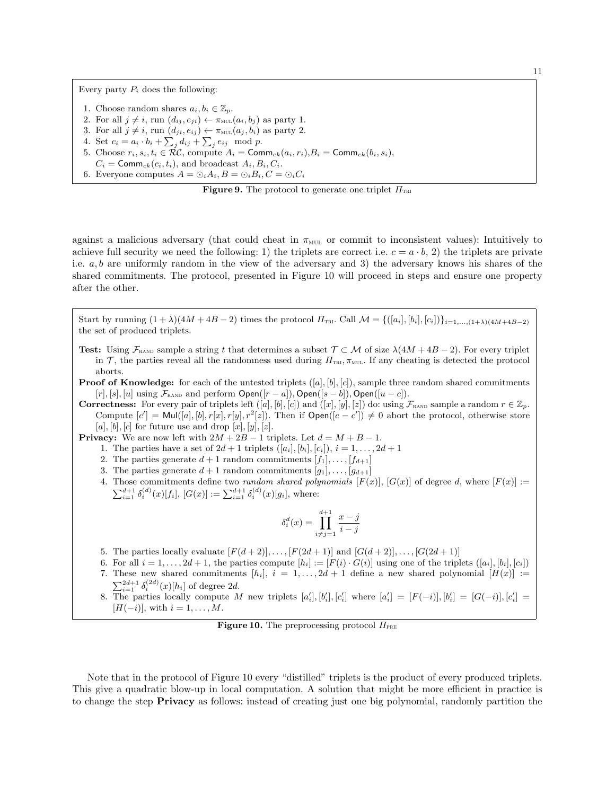Every party  $P_i$  does the following:

- 1. Choose random shares  $a_i, b_i \in \mathbb{Z}_p$ .
- 2. For all  $j \neq i$ , run  $(d_{ij}, e_{ji}) \leftarrow \pi_{\text{mult}}(a_i, b_j)$  as party 1.
- 3. For all  $j \neq i$ , run  $(d_{ji}, e_{ij}) \leftarrow \pi_{\text{MUL}}(a_j, b_i)$  as party 2.
- 4. Set  $c_i = a_i \cdot b_i + \sum_j d_{ij} + \sum_j e_{ij} \mod p$ .
- 5. Choose  $r_i, s_i, t_i \in \mathcal{RC}$ , compute  $A_i = \text{Comm}_{ck}(a_i, r_i), B_i = \text{Comm}_{ck}(b_i, s_i),$
- $C_i = \text{Comm}_{ck}(c_i, t_i)$ , and broadcast  $A_i, B_i, C_i$ . 6. Everyone computes  $A = \bigcirc_i A_i$ ,  $B = \bigcirc_i B_i$ ,  $C = \bigcirc_i C_i$

**Figure 9.** The protocol to generate one triplet  $\Pi_{TRI}$ 

against a malicious adversary (that could cheat in  $\pi_{\text{MUL}}$  or commit to inconsistent values): Intuitively to achieve full security we need the following: 1) the triplets are correct i.e.  $c = a \cdot b$ , 2) the triplets are private i.e.  $a, b$  are uniformly random in the view of the adversary and 3) the adversary knows his shares of the shared commitments. The protocol, presented in Figure 10 will proceed in steps and ensure one property after the other.

Start by running  $(1 + \lambda)(4M + 4B - 2)$  times the protocol  $\Pi_{\text{TRI}}$ . Call  $\mathcal{M} = \{([a_i], [b_i], [c_i])\}_{i=1,\dots,(1+\lambda)(4M+4B-2)}$ the set of produced triplets.

**Test:** Using  $\mathcal{F}_{\text{RAND}}$  sample a string t that determines a subset  $\mathcal{T} \subset \mathcal{M}$  of size  $\lambda(4M + 4B - 2)$ . For every triplet in T, the parties reveal all the randomness used during  $\Pi_{\text{TRI}}, \pi_{\text{MUL}}$ . If any cheating is detected the protocol aborts.

**Proof of Knowledge:** for each of the untested triplets  $([a], [b], [c])$ , sample three random shared commitments  $[r], [s], [u]$  using  $\mathcal{F}_{\text{RAND}}$  and perform  $\text{Open}([r-a]), \text{Open}([s-b]), \text{Open}([u-c]).$ 

**Correctness:** For every pair of triplets left  $([a], [b], [c])$  and  $([x], [y], [z])$  do: using  $\mathcal{F}_{\text{RAND}}$  sample a random  $r \in \mathbb{Z}_p$ . Compute  $[c'] = \text{Mul}([a], [b], r[x], r[y], r^2[z])$ . Then if  $\text{Open}([c - c']) \neq 0$  abort the protocol, otherwise store [a], [b], [c] for future use and drop  $[x]$ ,  $[y]$ ,  $[z]$ .

**Privacy:** We are now left with  $2M + 2B - 1$  triplets. Let  $d = M + B - 1$ .

- 1. The parties have a set of  $2d + 1$  triplets  $([a_i], [b_i], [c_i])$ ,  $i = 1, ..., 2d + 1$
- 2. The parties generate  $d+1$  random commitments  $[f_1], \ldots, [f_{d+1}]$
- 3. The parties generate  $d+1$  random commitments  $[g_1], \ldots, [g_{d+1}]$
- 4. Those commitments define two *random shared polynomials*  $[F(x)], [G(x)]$  of degree d, where  $[F(x)] :=$  $\sum_{i=1}^{d+1} \delta_i^{(d)}(x)[f_i], [G(x)] := \sum_{i=1}^{d+1} \delta_i^{(d)}(x)[g_i],$  where:

$$
\delta_i^d(x) = \prod_{i \neq j = 1}^{d+1} \frac{x - j}{i - j}
$$

- 5. The parties locally evaluate  $[F(d+2)], \ldots, [F(2d+1)]$  and  $[G(d+2)], \ldots, [G(2d+1)]$
- 6. For all  $i = 1, \ldots, 2d + 1$ , the parties compute  $[h_i] := [F(i) \cdot G(i)]$  using one of the triplets  $([a_i], [b_i], [c_i])$
- 7. These new shared commitments  $[h_i], i = 1, ..., 2d + 1$  define a new shared polynomial  $[H(x)] :=$  $\sum_{i=1}^{2d+1} \delta_i^{(2d)}(x)[h_i]$  of degree 2d.
- 8. The parties locally compute M new triplets  $[a'_i], [b'_i], [c'_i]$  where  $[a'_i] = [F(-i)], [b'_i] = [G(-i)], [c'_i] =$  $[H(-i)],$  with  $i = 1, \ldots, M.$

**Figure 10.** The preprocessing protocol  $\Pi_{PRE}$ 

Note that in the protocol of Figure 10 every "distilled" triplets is the product of every produced triplets. This give a quadratic blow-up in local computation. A solution that might be more efficient in practice is to change the step Privacy as follows: instead of creating just one big polynomial, randomly partition the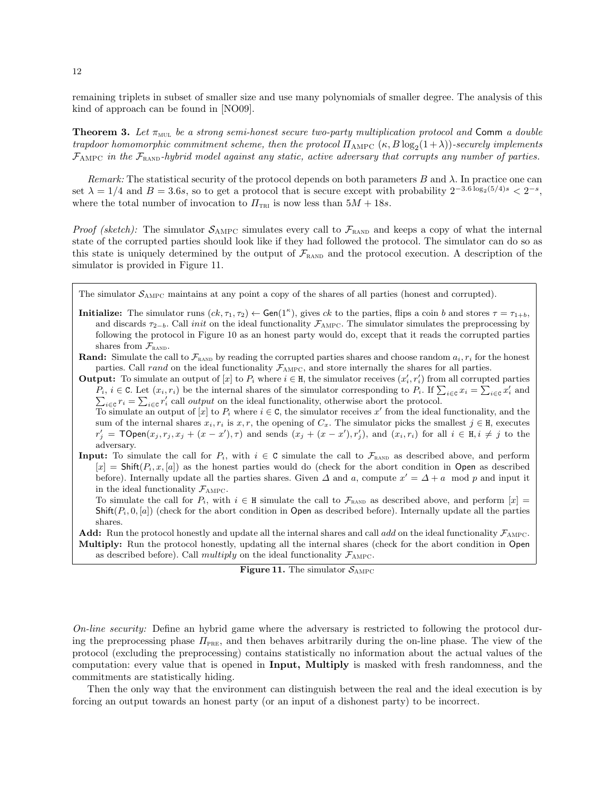remaining triplets in subset of smaller size and use many polynomials of smaller degree. The analysis of this kind of approach can be found in [NO09].

**Theorem 3.** Let  $\pi_{\text{MUL}}$  be a strong semi-honest secure two-party multiplication protocol and Comm a double trapdoor homomorphic commitment scheme, then the protocol  $\Pi_{\rm AMPC}$   $(\kappa,B\log_2(1+\lambda))$ -securely implements  $\mathcal{F}_{\text{AMPC}}$  in the  $\mathcal{F}_{\text{RAND}}$ -hybrid model against any static, active adversary that corrupts any number of parties.

Remark: The statistical security of the protocol depends on both parameters  $B$  and  $\lambda$ . In practice one can set  $\lambda = 1/4$  and  $B = 3.6s$ , so to get a protocol that is secure except with probability  $2^{-3.6 \log_2(5/4)s} < 2^{-s}$ , where the total number of invocation to  $\Pi_{TRI}$  is now less than  $5M + 18s$ .

*Proof (sketch)*: The simulator  $S_{\text{AMPC}}$  simulates every call to  $\mathcal{F}_{\text{RAND}}$  and keeps a copy of what the internal state of the corrupted parties should look like if they had followed the protocol. The simulator can do so as this state is uniquely determined by the output of  $\mathcal{F}_{\text{RAND}}$  and the protocol execution. A description of the simulator is provided in Figure 11.

The simulator  $S_{\text{AMPC}}$  maintains at any point a copy of the shares of all parties (honest and corrupted).

**Initialize:** The simulator runs  $(ck, \tau_1, \tau_2) \leftarrow$  Gen(1<sup>*k*</sup>), gives ck to the parties, flips a coin b and stores  $\tau = \tau_{1+b}$ , and discards  $\tau_{2-b}$ . Call *init* on the ideal functionality  $\mathcal{F}_{\text{AMPC}}$ . The simulator simulates the preprocessing by following the protocol in Figure 10 as an honest party would do, except that it reads the corrupted parties shares from  $\mathcal{F}_{\text{RAND}}$ .

**Rand:** Simulate the call to  $\mathcal{F}_{\text{RAND}}$  by reading the corrupted parties shares and choose random  $a_i, r_i$  for the honest parties. Call rand on the ideal functionality  $\mathcal{F}_{\text{AMPC}}$ , and store internally the shares for all parties.

**Output:** To simulate an output of [x] to  $P_i$  where  $i \in H$ , the simulator receives  $(x'_i, r'_i)$  from all corrupted parties  $P_i$ ,  $i \in \mathbb{C}$ . Let  $(x_i, r_i)$  be the internal shares of the simulator corresponding to  $P_i$ . If  $\sum_{i \in \mathbb{C}} x_i = \sum_{i \in \mathbb{C}} x'_i$  and  $\sum_{i \in \mathbb{C}} r_i = \sum_{i \in \mathbb{C}} r'_i$  call *output* on the ideal functionality, otherwise  $i \in \mathcal{C}$   $r_i = \sum_{i \in \mathcal{C}} r'_i$  call *output* on the ideal functionality, otherwise abort the protocol.

To simulate an output of [x] to  $P_i$  where  $i \in \mathbb{C}$ , the simulator receives x' from the ideal functionality, and the sum of the internal shares  $x_i, r_i$  is  $x, r$ , the opening of  $C_x$ . The simulator picks the smallest  $j \in H$ , executes  $r'_j = \textsf{TOPen}(x_j, r_j, x_j + (x - x'), \tau)$  and sends  $(x_j + (x - x'), r'_j)$ , and  $(x_i, r_i)$  for all  $i \in H, i \neq j$  to the adversary.

**Input:** To simulate the call for  $P_i$ , with  $i \in \mathbb{C}$  simulate the call to  $\mathcal{F}_{\text{RAND}}$  as described above, and perform  $[x] = \text{Shift}(P_i, x, [a])$  as the honest parties would do (check for the abort condition in Open as described before). Internally update all the parties shares. Given  $\Delta$  and a, compute  $x' = \Delta + a \mod p$  and input it in the ideal functionality  $\mathcal{F}_{AMPC}$ .

To simulate the call for  $P_i$ , with  $i \in H$  simulate the call to  $\mathcal{F}_{\text{RAND}}$  as described above, and perform  $[x] =$  $\text{Shift}(P_i, 0, [a])$  (check for the abort condition in Open as described before). Internally update all the parties shares.

**Add:** Run the protocol honestly and update all the internal shares and call add on the ideal functionality  $\mathcal{F}_{\text{AMPC}}$ . Multiply: Run the protocol honestly, updating all the internal shares (check for the abort condition in Open as described before). Call *multiply* on the ideal functionality  $\mathcal{F}_{AMPC}$ .



On-line security: Define an hybrid game where the adversary is restricted to following the protocol during the preprocessing phase  $\Pi_{PRE}$ , and then behaves arbitrarily during the on-line phase. The view of the protocol (excluding the preprocessing) contains statistically no information about the actual values of the computation: every value that is opened in Input, Multiply is masked with fresh randomness, and the commitments are statistically hiding.

Then the only way that the environment can distinguish between the real and the ideal execution is by forcing an output towards an honest party (or an input of a dishonest party) to be incorrect.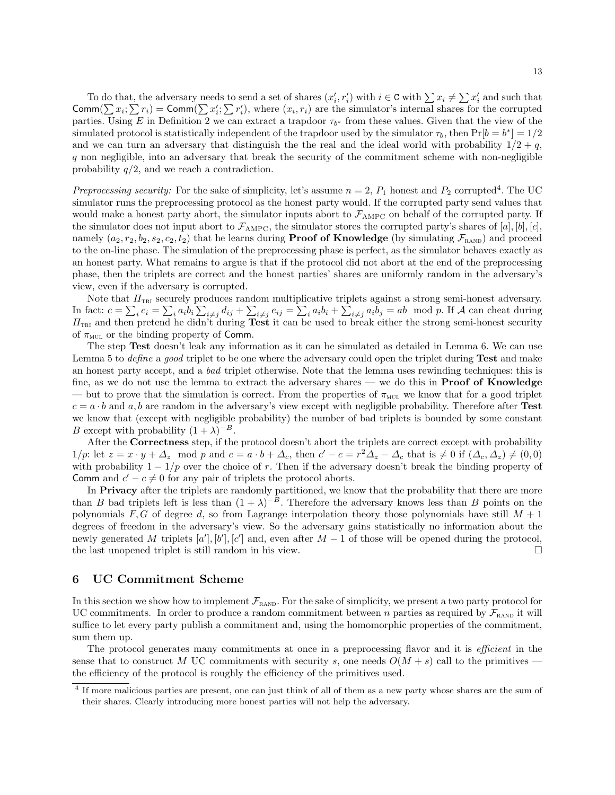To do that, the adversary needs to send a set of shares  $(x'_i, r'_i)$  with  $i \in \mathbb{C}$  with  $\sum x_i \neq \sum x'_i$  and such that Comm( $\sum x_i$ ;  $\sum r_i$ ) = Comm( $\sum x'_i$ ;  $\sum r'_i$ ), where  $(x_i, r_i)$  are the simulator's internal shares for the corrupted parties. Using E in Definition 2 we can extract a trapdoor  $\tau_{b^*}$  from these values. Given that the view of the simulated protocol is statistically independent of the trapdoor used by the simulator  $\tau_b$ , then  $Pr[b = b^*] = 1/2$ and we can turn an adversary that distinguish the the real and the ideal world with probability  $1/2 + q$ , q non negligible, into an adversary that break the security of the commitment scheme with non-negligible probability  $q/2$ , and we reach a contradiction.

Preprocessing security: For the sake of simplicity, let's assume  $n = 2$ ,  $P_1$  honest and  $P_2$  corrupted<sup>4</sup>. The UC simulator runs the preprocessing protocol as the honest party would. If the corrupted party send values that would make a honest party abort, the simulator inputs abort to  $\mathcal{F}_{\rm AMPC}$  on behalf of the corrupted party. If the simulator does not input abort to  $\mathcal{F}_{\text{AMPC}}$ , the simulator stores the corrupted party's shares of [a], [b], [c], namely  $(a_2, r_2, b_2, s_2, c_2, t_2)$  that he learns during **Proof of Knowledge** (by simulating  $\mathcal{F}_{\text{RAND}}$ ) and proceed to the on-line phase. The simulation of the preprocessing phase is perfect, as the simulator behaves exactly as an honest party. What remains to argue is that if the protocol did not abort at the end of the preprocessing phase, then the triplets are correct and the honest parties' shares are uniformly random in the adversary's view, even if the adversary is corrupted.

Note that  $\Pi_{\text{TRI}}$  securely produces random multiplicative triplets against a strong semi-honest adversary. In fact:  $c = \sum_i c_i = \sum_i a_i b_i \sum_{i \neq j} d_{ij} + \sum_{i \neq j} e_{ij} = \sum_i a_i b_i + \sum_{i \neq j} a_i b_j = ab \mod p$ . If A can cheat during  $\Pi_{\text{TRI}}$  and then pretend he didn't during Test it can be used to break either the strong semi-honest security of  $\pi_{\text{MUL}}$  or the binding property of Comm.

The step Test doesn't leak any information as it can be simulated as detailed in Lemma 6. We can use Lemma 5 to *define* a good triplet to be one where the adversary could open the triplet during **Test** and make an honest party accept, and a bad triplet otherwise. Note that the lemma uses rewinding techniques: this is fine, as we do not use the lemma to extract the adversary shares — we do this in **Proof of Knowledge** — but to prove that the simulation is correct. From the properties of  $\pi_{\text{MUL}}$  we know that for a good triplet  $c = a \cdot b$  and  $a, b$  are random in the adversary's view except with negligible probability. Therefore after Test we know that (except with negligible probability) the number of bad triplets is bounded by some constant B except with probability  $(1 + \lambda)^{-B}$ .

After the Correctness step, if the protocol doesn't abort the triplets are correct except with probability  $1/p$ : let  $z = x \cdot y + \Delta_z \mod p$  and  $c = a \cdot b + \Delta_c$ , then  $c' - c = r^2 \Delta_z - \Delta_c$  that is  $\neq 0$  if  $(\Delta_c, \Delta_z) \neq (0, 0)$ with probability  $1 - 1/p$  over the choice of r. Then if the adversary doesn't break the binding property of Comm and  $c' - c \neq 0$  for any pair of triplets the protocol aborts.

In Privacy after the triplets are randomly partitioned, we know that the probability that there are more than B bad triplets left is less than  $(1 + \lambda)^{-B}$ . Therefore the adversary knows less than B points on the polynomials  $F, G$  of degree d, so from Lagrange interpolation theory those polynomials have still  $M + 1$ degrees of freedom in the adversary's view. So the adversary gains statistically no information about the newly generated M triplets [a'], [b'], [c'] and, even after  $M-1$  of those will be opened during the protocol, the last unopened triplet is still random in his view.

# 6 UC Commitment Scheme

In this section we show how to implement  $\mathcal{F}_{\text{RAND}}$ . For the sake of simplicity, we present a two party protocol for UC commitments. In order to produce a random commitment between n parties as required by  $\mathcal{F}_{\text{RAND}}$  it will suffice to let every party publish a commitment and, using the homomorphic properties of the commitment, sum them up.

The protocol generates many commitments at once in a preprocessing flavor and it is *efficient* in the sense that to construct M UC commitments with security s, one needs  $O(M + s)$  call to the primitives – the efficiency of the protocol is roughly the efficiency of the primitives used.

<sup>&</sup>lt;sup>4</sup> If more malicious parties are present, one can just think of all of them as a new party whose shares are the sum of their shares. Clearly introducing more honest parties will not help the adversary.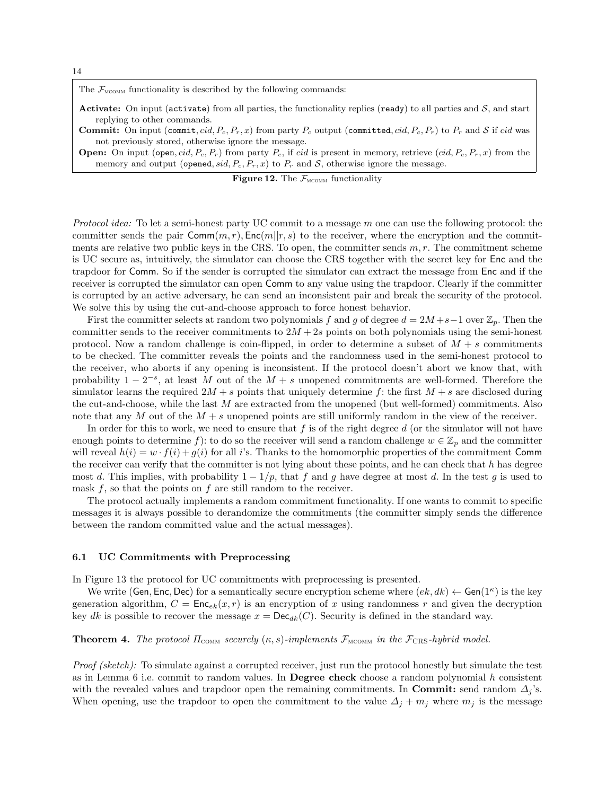14

The  $\mathcal{F}_{\text{MCOMM}}$  functionality is described by the following commands:

- Activate: On input (activate) from all parties, the functionality replies (ready) to all parties and  $S$ , and start replying to other commands.
- **Commit:** On input (commit, cid,  $P_c$ ,  $P_r$ , x) from party  $P_c$  output (committed, cid,  $P_c$ ,  $P_r$ ) to  $P_r$  and S if cid was not previously stored, otherwise ignore the message.
- **Open:** On input (open, cid,  $P_c$ ,  $P_r$ ) from party  $P_c$ , if cid is present in memory, retrieve (cid,  $P_c$ ,  $P_r$ , x) from the memory and output (opened, sid,  $P_c$ ,  $P_r$ , x) to  $P_r$  and  $S$ , otherwise ignore the message.

| <b>Figure 12.</b> The $\mathcal{F}_{\text{MCOMM}}$ functionality |  |  |
|------------------------------------------------------------------|--|--|
|------------------------------------------------------------------|--|--|

*Protocol idea:* To let a semi-honest party UC commit to a message  $m$  one can use the following protocol: the committer sends the pair  $\textsf{Comm}(m, r)$ ,  $\textsf{Enc}(m||r, s)$  to the receiver, where the encryption and the commitments are relative two public keys in the CRS. To open, the committer sends  $m, r$ . The commitment scheme is UC secure as, intuitively, the simulator can choose the CRS together with the secret key for Enc and the trapdoor for Comm. So if the sender is corrupted the simulator can extract the message from Enc and if the receiver is corrupted the simulator can open Comm to any value using the trapdoor. Clearly if the committer is corrupted by an active adversary, he can send an inconsistent pair and break the security of the protocol. We solve this by using the cut-and-choose approach to force honest behavior.

First the committer selects at random two polynomials f and g of degree  $d = 2M + s - 1$  over  $\mathbb{Z}_p$ . Then the committer sends to the receiver commitments to  $2M + 2s$  points on both polynomials using the semi-honest protocol. Now a random challenge is coin-flipped, in order to determine a subset of  $M + s$  commitments to be checked. The committer reveals the points and the randomness used in the semi-honest protocol to the receiver, who aborts if any opening is inconsistent. If the protocol doesn't abort we know that, with probability  $1 - 2^{-s}$ , at least M out of the  $M + s$  unopened commitments are well-formed. Therefore the simulator learns the required  $2M + s$  points that uniquely determine f: the first  $M + s$  are disclosed during the cut-and-choose, while the last M are extracted from the unopened (but well-formed) commitments. Also note that any M out of the  $M + s$  unopened points are still uniformly random in the view of the receiver.

In order for this to work, we need to ensure that  $f$  is of the right degree  $d$  (or the simulator will not have enough points to determine f): to do so the receiver will send a random challenge  $w \in \mathbb{Z}_p$  and the committer will reveal  $h(i) = w \cdot f(i) + g(i)$  for all i's. Thanks to the homomorphic properties of the commitment Comm the receiver can verify that the committer is not lying about these points, and he can check that  $h$  has degree most d. This implies, with probability  $1 - 1/p$ , that f and g have degree at most d. In the test g is used to mask  $f$ , so that the points on  $f$  are still random to the receiver.

The protocol actually implements a random commitment functionality. If one wants to commit to specific messages it is always possible to derandomize the commitments (the committer simply sends the difference between the random committed value and the actual messages).

#### 6.1 UC Commitments with Preprocessing

In Figure 13 the protocol for UC commitments with preprocessing is presented.

We write (Gen, Enc, Dec) for a semantically secure encryption scheme where  $(ek, dk) \leftarrow$  Gen $(1^{\kappa})$  is the key generation algorithm,  $C = \text{Enc}_{ek}(x, r)$  is an encryption of x using randomness r and given the decryption key dk is possible to recover the message  $x = \text{Dec}_{dk}(C)$ . Security is defined in the standard way.

### **Theorem 4.** The protocol  $\Pi_{\text{COMM}}$  securely  $(\kappa, s)$ -implements  $\mathcal{F}_{\text{MCOMM}}$  in the  $\mathcal{F}_{\text{CRS}}$ -hybrid model.

Proof (sketch): To simulate against a corrupted receiver, just run the protocol honestly but simulate the test as in Lemma 6 i.e. commit to random values. In Degree check choose a random polynomial  $h$  consistent with the revealed values and trapdoor open the remaining commitments. In Commit: send random  $\Delta_i$ 's. When opening, use the trapdoor to open the commitment to the value  $\Delta_j + m_j$  where  $m_j$  is the message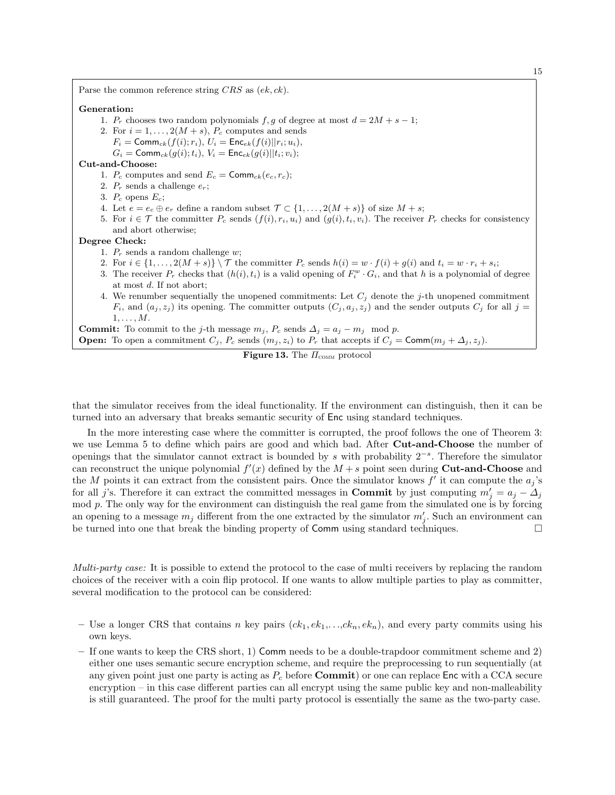Parse the common reference string  $CRS$  as  $(ek, ck)$ . Generation: 1.  $P_r$  chooses two random polynomials  $f, g$  of degree at most  $d = 2M + s - 1$ ; 2. For  $i = 1, \ldots, 2(M + s), P_c$  computes and sends  $F_i = \text{Comm}_{ck}(f(i); r_i), U_i = \text{Enc}_{ek}(f(i)||r_i; u_i),$  $G_i = \textsf{Comm}_{ck}(g(i); t_i), V_i = \textsf{Enc}_{ek}(g(i)|| t_i; v_i);$ Cut-and-Choose: 1.  $P_c$  computes and send  $E_c = \text{Comm}_{ck}(e_c, r_c);$ 2.  $P_r$  sends a challenge  $e_r$ ; 3.  $P_c$  opens  $E_c$ ; 4. Let  $e = e_c \oplus e_r$  define a random subset  $\mathcal{T} \subset \{1, \ldots, 2(M+s)\}\$  of size  $M+s$ ; 5. For  $i \in \mathcal{T}$  the committer  $P_c$  sends  $(f(i), r_i, u_i)$  and  $(g(i), t_i, v_i)$ . The receiver  $P_r$  checks for consistency and abort otherwise; Degree Check: 1.  $P_r$  sends a random challenge w; 2. For  $i \in \{1, \ldots, 2(M+s)\}\setminus\mathcal{T}$  the committer  $P_c$  sends  $h(i) = w \cdot f(i) + g(i)$  and  $t_i = w \cdot r_i + s_i$ ; 3. The receiver  $P_r$  checks that  $(h(i), t_i)$  is a valid opening of  $F_i^w \cdot G_i$ , and that h is a polynomial of degree at most d. If not abort; 4. We renumber sequentially the unopened commitments: Let  $C_i$  denote the j-th unopened commitment  $F_i$ , and  $(a_j, z_j)$  its opening. The committer outputs  $(C_j, a_j, z_j)$  and the sender outputs  $C_j$  for all  $j =$  $1, \ldots, M$ . **Commit:** To commit to the j-th message  $m_j$ ,  $P_c$  sends  $\Delta_j = a_j - m_j \mod p$ . **Open:** To open a commitment  $C_j$ ,  $P_c$  sends  $(m_j, z_i)$  to  $P_r$  that accepts if  $C_j = \text{Comm}(m_j + \Delta_j, z_j)$ . **Figure 13.** The  $\Pi_{\text{com}}$  protocol

that the simulator receives from the ideal functionality. If the environment can distinguish, then it can be turned into an adversary that breaks semantic security of Enc using standard techniques.

In the more interesting case where the committer is corrupted, the proof follows the one of Theorem 3: we use Lemma 5 to define which pairs are good and which bad. After Cut-and-Choose the number of openings that the simulator cannot extract is bounded by s with probability 2<sup>-s</sup>. Therefore the simulator can reconstruct the unique polynomial  $f'(x)$  defined by the  $M + s$  point seen during Cut-and-Choose and the M points it can extract from the consistent pairs. Once the simulator knows  $f'$  it can compute the  $a_j$ 's for all j's. Therefore it can extract the committed messages in **Commit** by just computing  $m'_j = a_j - \Delta_j$ mod  $p$ . The only way for the environment can distinguish the real game from the simulated one is by forcing an opening to a message  $m_j$  different from the one extracted by the simulator  $m'_j$ . Such an environment can be turned into one that break the binding property of Comm using standard techniques.

Multi-party case: It is possible to extend the protocol to the case of multi receivers by replacing the random choices of the receiver with a coin flip protocol. If one wants to allow multiple parties to play as committer, several modification to the protocol can be considered:

- Use a longer CRS that contains n key pairs  $(ck_1, ek_1,...,ck_n, ek_n)$ , and every party commits using his own keys.
- If one wants to keep the CRS short, 1) Comm needs to be a double-trapdoor commitment scheme and 2) either one uses semantic secure encryption scheme, and require the preprocessing to run sequentially (at any given point just one party is acting as  $P_c$  before **Commit**) or one can replace Enc with a CCA secure encryption – in this case different parties can all encrypt using the same public key and non-malleability is still guaranteed. The proof for the multi party protocol is essentially the same as the two-party case.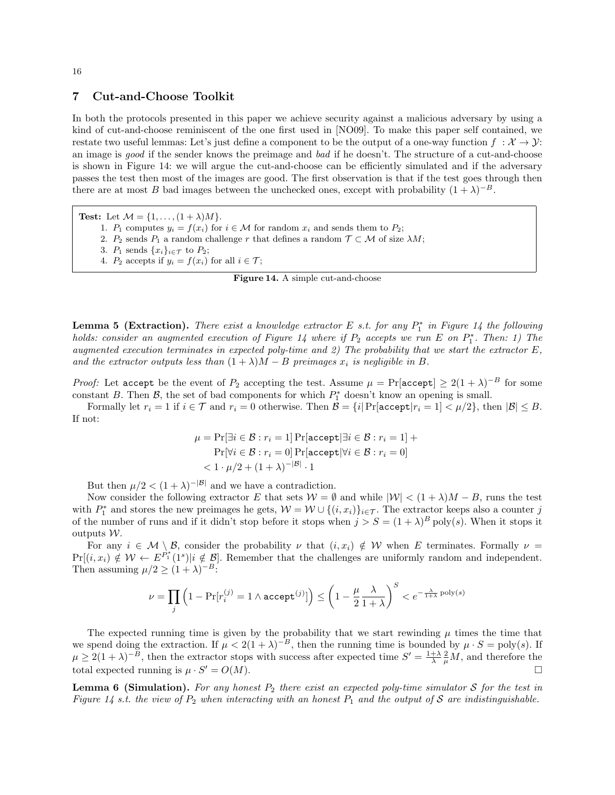# 7 Cut-and-Choose Toolkit

In both the protocols presented in this paper we achieve security against a malicious adversary by using a kind of cut-and-choose reminiscent of the one first used in [NO09]. To make this paper self contained, we restate two useful lemmas: Let's just define a component to be the output of a one-way function  $f : \mathcal{X} \to \mathcal{Y}$ : an image is good if the sender knows the preimage and bad if he doesn't. The structure of a cut-and-choose is shown in Figure 14: we will argue the cut-and-choose can be efficiently simulated and if the adversary passes the test then most of the images are good. The first observation is that if the test goes through then there are at most B bad images between the unchecked ones, except with probability  $(1 + \lambda)^{-B}$ .

Test: Let  $\mathcal{M} = \{1, \ldots, (1 + \lambda)M\}.$ 

- 1.  $P_1$  computes  $y_i = f(x_i)$  for  $i \in \mathcal{M}$  for random  $x_i$  and sends them to  $P_2$ ;
- 2.  $P_2$  sends  $P_1$  a random challenge r that defines a random  $\mathcal{T} \subset \mathcal{M}$  of size  $\lambda M$ ;
- 3.  $P_1$  sends  $\{x_i\}_{i\in\mathcal{T}}$  to  $P_2$ ;
- 4.  $P_2$  accepts if  $y_i = f(x_i)$  for all  $i \in \mathcal{T}$ ;
	- Figure 14. A simple cut-and-choose

**Lemma 5 (Extraction).** There exist a knowledge extractor E s.t. for any  $P_1^*$  in Figure 14 the following holds: consider an augmented execution of Figure 14 where if  $P_2$  accepts we run E on  $P_1^*$ . Then: 1) The augmented execution terminates in expected poly-time and 2) The probability that we start the extractor  $E$ , and the extractor outputs less than  $(1 + \lambda)M - B$  preimages  $x_i$  is negligible in B.

*Proof:* Let accept be the event of  $P_2$  accepting the test. Assume  $\mu = \Pr[\text{accept}] \geq 2(1 + \lambda)^{-B}$  for some constant B. Then  $\mathcal{B}$ , the set of bad components for which  $P_1^*$  doesn't know an opening is small.

Formally let  $r_i = 1$  if  $i \in \mathcal{T}$  and  $r_i = 0$  otherwise. Then  $\mathcal{B} = \{i | \Pr[\text{accept}|r_i = 1] < \mu/2\}$ , then  $|\mathcal{B}| \leq B$ . If not:

$$
\mu = \Pr[\exists i \in \mathcal{B} : r_i = 1] \Pr[\text{accept} | \exists i \in \mathcal{B} : r_i = 1] + \Pr[\forall i \in \mathcal{B} : r_i = 0] \Pr[\text{accept} | \forall i \in \mathcal{B} : r_i = 0] \lt 1 \cdot \mu/2 + (1 + \lambda)^{-|\mathcal{B}|} \cdot 1
$$

But then  $\mu/2 < (1 + \lambda)^{-|\mathcal{B}|}$  and we have a contradiction.

Now consider the following extractor E that sets  $W = \emptyset$  and while  $|W| < (1 + \lambda)M - B$ , runs the test with  $P_1^*$  and stores the new preimages he gets,  $W = W \cup \{(i, x_i)\}_{i \in \mathcal{T}}$ . The extractor keeps also a counter j of the number of runs and if it didn't stop before it stops when  $j > S = (1 + \lambda)^B$  poly(s). When it stops it outputs  $W$ .

For any  $i \in \mathcal{M} \setminus \mathcal{B}$ , consider the probability  $\nu$  that  $(i, x_i) \notin \mathcal{W}$  when E terminates. Formally  $\nu =$  $Pr[(i, x_i) \notin \mathcal{W} \leftarrow E^{P_1^*}(1^s)|i \notin \mathcal{B}]$ . Remember that the challenges are uniformly random and independent. Then assuming  $\mu/2 \geq (1 + \lambda)^{-B}$ :

$$
\nu = \prod_j \left(1 - \Pr[r_i^{(j)} = 1 \land \texttt{accept}^{(j)}]\right) \leq \left(1 - \frac{\mu}{2} \frac{\lambda}{1 + \lambda}\right)^S < e^{-\frac{\lambda}{1 + \lambda}\operatorname{poly}(s)}
$$

The expected running time is given by the probability that we start rewinding  $\mu$  times the time that we spend doing the extraction. If  $\mu < 2(1 + \lambda)^{-B}$ , then the running time is bounded by  $\mu \cdot S = \text{poly}(s)$ . If  $\mu \geq 2(1+\lambda)^{-B}$ , then the extractor stops with success after expected time  $S' = \frac{1+\lambda}{\lambda} \frac{2}{\mu} M$ , and therefore the total expected running is  $\mu \cdot S' = O(M)$ .

**Lemma 6 (Simulation).** For any honest  $P_2$  there exist an expected poly-time simulator S for the test in Figure 14 s.t. the view of  $P_2$  when interacting with an honest  $P_1$  and the output of S are indistinguishable.

#### 16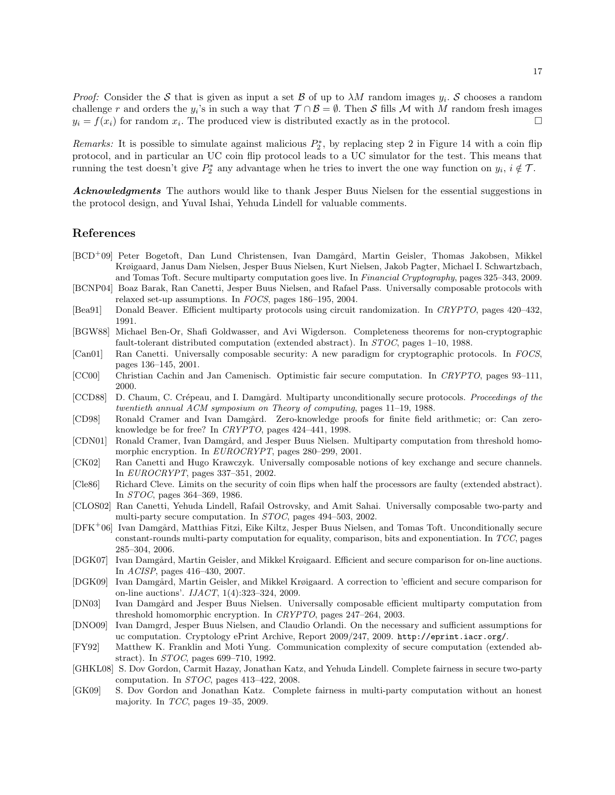*Proof:* Consider the S that is given as input a set B of up to  $\lambda M$  random images  $y_i$ . S chooses a random challenge r and orders the  $y_i$ 's in such a way that  $\mathcal{T} \cap \mathcal{B} = \emptyset$ . Then S fills M with M random fresh images  $y_i = f(x_i)$  for random  $x_i$ . The produced view is distributed exactly as in the protocol.

Remarks: It is possible to simulate against malicious  $P_2^*$ , by replacing step 2 in Figure 14 with a coin flip protocol, and in particular an UC coin flip protocol leads to a UC simulator for the test. This means that running the test doesn't give  $P_2^*$  any advantage when he tries to invert the one way function on  $y_i$ ,  $i \notin \mathcal{T}$ .

Acknowledgments The authors would like to thank Jesper Buus Nielsen for the essential suggestions in the protocol design, and Yuval Ishai, Yehuda Lindell for valuable comments.

## References

- [BCD<sup>+</sup>09] Peter Bogetoft, Dan Lund Christensen, Ivan Damg˚ard, Martin Geisler, Thomas Jakobsen, Mikkel Krøigaard, Janus Dam Nielsen, Jesper Buus Nielsen, Kurt Nielsen, Jakob Pagter, Michael I. Schwartzbach, and Tomas Toft. Secure multiparty computation goes live. In Financial Cryptography, pages 325–343, 2009.
- [BCNP04] Boaz Barak, Ran Canetti, Jesper Buus Nielsen, and Rafael Pass. Universally composable protocols with relaxed set-up assumptions. In FOCS, pages 186–195, 2004.
- [Bea91] Donald Beaver. Efficient multiparty protocols using circuit randomization. In CRYPTO, pages 420–432, 1991.
- [BGW88] Michael Ben-Or, Shafi Goldwasser, and Avi Wigderson. Completeness theorems for non-cryptographic fault-tolerant distributed computation (extended abstract). In STOC, pages 1–10, 1988.
- [Can01] Ran Canetti. Universally composable security: A new paradigm for cryptographic protocols. In FOCS, pages 136–145, 2001.
- [CC00] Christian Cachin and Jan Camenisch. Optimistic fair secure computation. In CRYPTO, pages 93–111, 2000.
- [CCD88] D. Chaum, C. Crépeau, and I. Damgård. Multiparty unconditionally secure protocols. Proceedings of the twentieth annual ACM symposium on Theory of computing, pages 11–19, 1988.
- [CD98] Ronald Cramer and Ivan Damgård. Zero-knowledge proofs for finite field arithmetic; or: Can zeroknowledge be for free? In CRYPTO, pages 424–441, 1998.
- [CDN01] Ronald Cramer, Ivan Damgård, and Jesper Buus Nielsen. Multiparty computation from threshold homomorphic encryption. In EUROCRYPT, pages 280–299, 2001.
- [CK02] Ran Canetti and Hugo Krawczyk. Universally composable notions of key exchange and secure channels. In EUROCRYPT, pages 337–351, 2002.
- [Cle86] Richard Cleve. Limits on the security of coin flips when half the processors are faulty (extended abstract). In STOC, pages 364–369, 1986.
- [CLOS02] Ran Canetti, Yehuda Lindell, Rafail Ostrovsky, and Amit Sahai. Universally composable two-party and multi-party secure computation. In STOC, pages 494–503, 2002.
- [DFK+06] Ivan Damgård, Matthias Fitzi, Eike Kiltz, Jesper Buus Nielsen, and Tomas Toft. Unconditionally secure constant-rounds multi-party computation for equality, comparison, bits and exponentiation. In TCC, pages 285–304, 2006.
- [DGK07] Ivan Damgård, Martin Geisler, and Mikkel Krøigaard. Efficient and secure comparison for on-line auctions. In ACISP, pages 416–430, 2007.
- [DGK09] Ivan Damgård, Martin Geisler, and Mikkel Krøigaard. A correction to 'efficient and secure comparison for on-line auctions'. IJACT, 1(4):323–324, 2009.
- [DN03] Ivan Damgård and Jesper Buus Nielsen. Universally composable efficient multiparty computation from threshold homomorphic encryption. In CRYPTO, pages 247–264, 2003.
- [DNO09] Ivan Damgrd, Jesper Buus Nielsen, and Claudio Orlandi. On the necessary and sufficient assumptions for uc computation. Cryptology ePrint Archive, Report 2009/247, 2009. http://eprint.iacr.org/.
- [FY92] Matthew K. Franklin and Moti Yung. Communication complexity of secure computation (extended abstract). In STOC, pages 699–710, 1992.
- [GHKL08] S. Dov Gordon, Carmit Hazay, Jonathan Katz, and Yehuda Lindell. Complete fairness in secure two-party computation. In STOC, pages 413–422, 2008.
- [GK09] S. Dov Gordon and Jonathan Katz. Complete fairness in multi-party computation without an honest majority. In TCC, pages 19–35, 2009.